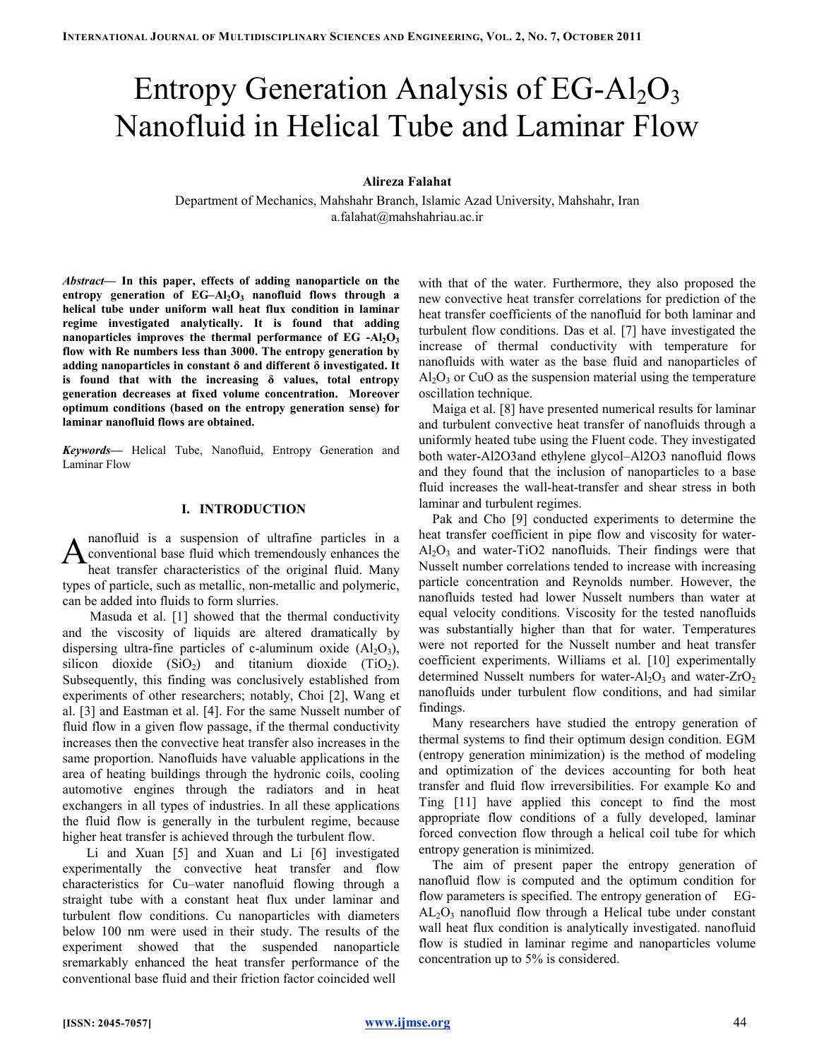# Entropy Generation Analysis of  $EG-Al<sub>2</sub>O<sub>3</sub>$ Nanofluid in Helical Tube and Laminar Flow

### Alireza Falahat

Department of Mechanics, Mahshahr Branch, Islamic Azad University, Mahshahr, Iran a.falahat@mahshahriau.ac.ir

Abstract— In this paper, effects of adding nanoparticle on the entropy generation of  $EG-Al_2O_3$  nanofluid flows through a helical tube under uniform wall heat flux condition in laminar regime investigated analytically. It is found that adding nanoparticles improves the thermal performance of  $EG - Al<sub>2</sub>O<sub>3</sub>$ flow with Re numbers less than 3000. The entropy generation by adding nanoparticles in constant δ and different δ investigated. It is found that with the increasing  $\delta$  values, total entropy generation decreases at fixed volume concentration. Moreover optimum conditions (based on the entropy generation sense) for laminar nanofluid flows are obtained.

Keywords— Helical Tube, Nanofluid, Entropy Generation and Laminar Flow

#### I. INTRODUCTION

nanofluid is a suspension of ultrafine particles in a conventional base fluid which tremendously enhances the heat transfer characteristics of the original fluid. Many types of particle, such as metallic, non-metallic and polymeric, can be added into fluids to form slurries. A

 Masuda et al. [1] showed that the thermal conductivity and the viscosity of liquids are altered dramatically by dispersing ultra-fine particles of c-aluminum oxide  $(A<sub>1</sub>, O<sub>3</sub>)$ , silicon dioxide  $(SiO<sub>2</sub>)$  and titanium dioxide  $(TiO<sub>2</sub>)$ . Subsequently, this finding was conclusively established from experiments of other researchers; notably, Choi [2], Wang et al. [3] and Eastman et al. [4]. For the same Nusselt number of fluid flow in a given flow passage, if the thermal conductivity increases then the convective heat transfer also increases in the same proportion. Nanofluids have valuable applications in the area of heating buildings through the hydronic coils, cooling automotive engines through the radiators and in heat exchangers in all types of industries. In all these applications the fluid flow is generally in the turbulent regime, because higher heat transfer is achieved through the turbulent flow.

Li and Xuan [5] and Xuan and Li [6] investigated experimentally the convective heat transfer and flow characteristics for Cu–water nanofluid flowing through a straight tube with a constant heat flux under laminar and turbulent flow conditions. Cu nanoparticles with diameters below 100 nm were used in their study. The results of the experiment showed that the suspended nanoparticle sremarkably enhanced the heat transfer performance of the conventional base fluid and their friction factor coincided well

with that of the water. Furthermore, they also proposed the new convective heat transfer correlations for prediction of the heat transfer coefficients of the nanofluid for both laminar and turbulent flow conditions. Das et al. [7] have investigated the increase of thermal conductivity with temperature for nanofluids with water as the base fluid and nanoparticles of  $Al_2O_3$  or CuO as the suspension material using the temperature oscillation technique.

Maiga et al. [8] have presented numerical results for laminar and turbulent convective heat transfer of nanofluids through a uniformly heated tube using the Fluent code. They investigated both water-Al2O3and ethylene glycol–Al2O3 nanofluid flows and they found that the inclusion of nanoparticles to a base fluid increases the wall-heat-transfer and shear stress in both laminar and turbulent regimes.

Pak and Cho [9] conducted experiments to determine the heat transfer coefficient in pipe flow and viscosity for water- $Al_2O_3$  and water-TiO2 nanofluids. Their findings were that Nusselt number correlations tended to increase with increasing particle concentration and Reynolds number. However, the nanofluids tested had lower Nusselt numbers than water at equal velocity conditions. Viscosity for the tested nanofluids was substantially higher than that for water. Temperatures were not reported for the Nusselt number and heat transfer coefficient experiments. Williams et al. [10] experimentally determined Nusselt numbers for water- $A_1O_3$  and water-ZrO<sub>2</sub> nanofluids under turbulent flow conditions, and had similar findings.

Many researchers have studied the entropy generation of thermal systems to find their optimum design condition. EGM (entropy generation minimization) is the method of modeling and optimization of the devices accounting for both heat transfer and fluid flow irreversibilities. For example Ko and Ting [11] have applied this concept to find the most appropriate flow conditions of a fully developed, laminar forced convection flow through a helical coil tube for which entropy generation is minimized.

The aim of present paper the entropy generation of nanofluid flow is computed and the optimum condition for flow parameters is specified. The entropy generation of EG- $AL_2O_3$  nanofluid flow through a Helical tube under constant wall heat flux condition is analytically investigated. nanofluid flow is studied in laminar regime and nanoparticles volume concentration up to 5% is considered.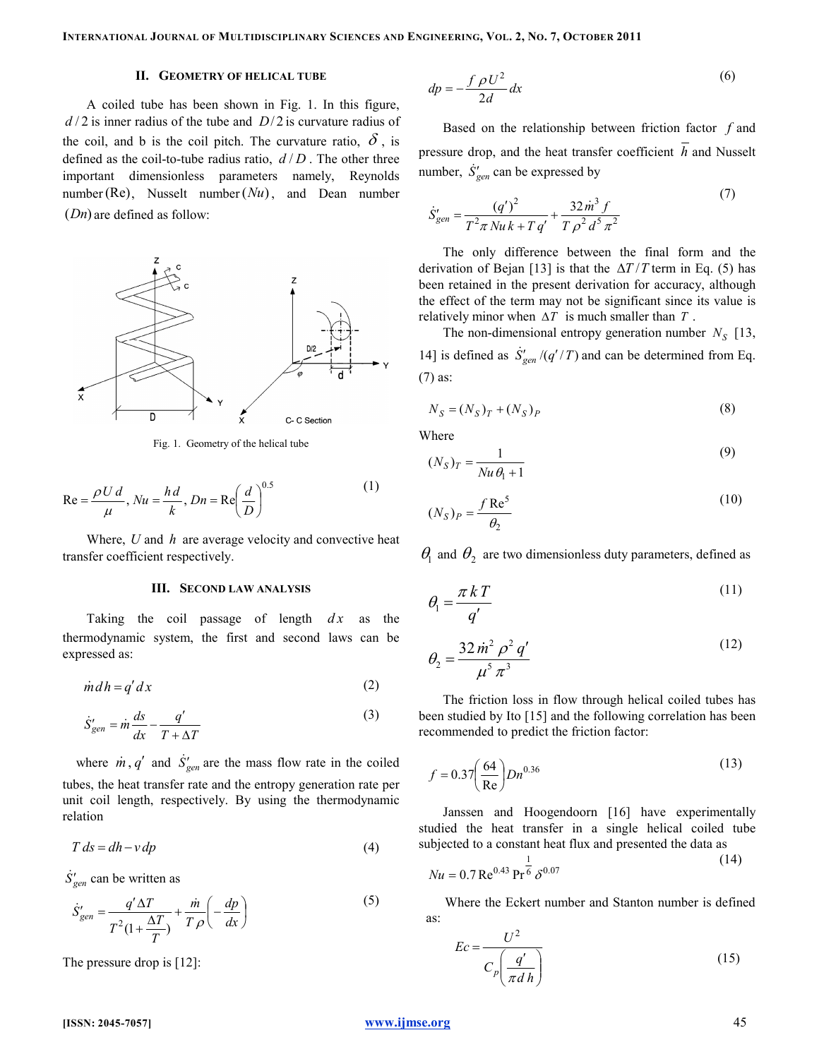## II. GEOMETRY OF HELICAL TUBE

A coiled tube has been shown in Fig. 1. In this figure,  $d/2$  is inner radius of the tube and  $D/2$  is curvature radius of the coil, and b is the coil pitch. The curvature ratio,  $\delta$ , is defined as the coil-to-tube radius ratio,  $d/D$ . The other three important dimensionless parameters namely, Reynolds number (Re), Nusselt number  $(Nu)$ , and Dean number  $(Dn)$  are defined as follow:



Fig. 1. Geometry of the helical tube

$$
\text{Re} = \frac{\rho U d}{\mu}, Nu = \frac{hd}{k}, Dn = \text{Re}\left(\frac{d}{D}\right)^{0.5}
$$
 (1)

Where,  $U$  and  $h$  are average velocity and convective heat transfer coefficient respectively.

#### III. SECOND LAW ANALYSIS

Taking the coil passage of length  $dx$  as the thermodynamic system, the first and second laws can be expressed as:

$$
\dot{m}dh = q'dx \tag{2}
$$

$$
\dot{S}_{gen}' = \dot{m}\frac{ds}{dx} - \frac{q'}{T + \Delta T}
$$
\n(3)

where  $\dot{m}$ ,  $q'$  and  $\dot{S}'_{gen}$  are the mass flow rate in the coiled tubes, the heat transfer rate and the entropy generation rate per unit coil length, respectively. By using the thermodynamic relation

$$
T ds = dh - v dp \tag{4}
$$

 $\dot{S}'_{gen}$  can be written as

$$
\dot{S}_{gen}' = \frac{q' \Delta T}{T^2 (1 + \frac{\Delta T}{T})} + \frac{\dot{m}}{T \rho} \left( -\frac{dp}{dx} \right)
$$
\n(5)

The pressure drop is [12]:

$$
dp = -\frac{f \rho U^2}{2d} dx
$$
 (6)

Based on the relationship between friction factor  $f$  and pressure drop, and the heat transfer coefficient  $h$  and Nusselt number,  $\dot{S}'_{gen}$  can be expressed by

$$
\dot{S}_{gen}' = \frac{(q')^2}{T^2 \pi N u k + T q'} + \frac{32 \dot{m}^3 f}{T \rho^2 d^5 \pi^2}
$$
(7)

The only difference between the final form and the derivation of Bejan [13] is that the  $\Delta T/T$  term in Eq. (5) has been retained in the present derivation for accuracy, although the effect of the term may not be significant since its value is relatively minor when  $\Delta T$  is much smaller than T.

The non-dimensional entropy generation number  $N_S$  [13, 14] is defined as  $\dot{S}_{gen} / (q'/T)$  and can be determined from Eq. (7) as:

$$
N_S = (N_S)_T + (N_S)_P \tag{8}
$$

Where

$$
(N_S)_T = \frac{1}{Nu \theta_1 + 1} \tag{9}
$$

$$
(N_S)_P = \frac{f \operatorname{Re}^5}{\theta_2} \tag{10}
$$

 $\theta_1$  and  $\theta_2$  are two dimensionless duty parameters, defined as

$$
\theta_{\rm l} = \frac{\pi k T}{q'} \tag{11}
$$

$$
\theta_2 = \frac{32 \dot{m}^2 \rho^2 q'}{\mu^5 \pi^3}
$$
\n(12)

The friction loss in flow through helical coiled tubes has been studied by Ito [15] and the following correlation has been recommended to predict the friction factor:

$$
f = 0.37 \left(\frac{64}{\text{Re}}\right) D n^{0.36} \tag{13}
$$

Janssen and Hoogendoorn [16] have experimentally studied the heat transfer in a single helical coiled tube subjected to a constant heat flux and presented the data as

$$
Nu = 0.7 \,\text{Re}^{0.43} \,\text{Pr}^{\frac{1}{6}} \,\delta^{0.07} \tag{14}
$$

Where the Eckert number and Stanton number is defined as:

$$
Ec = \frac{U^2}{C_p \left(\frac{q'}{\pi d h}\right)}
$$
(15)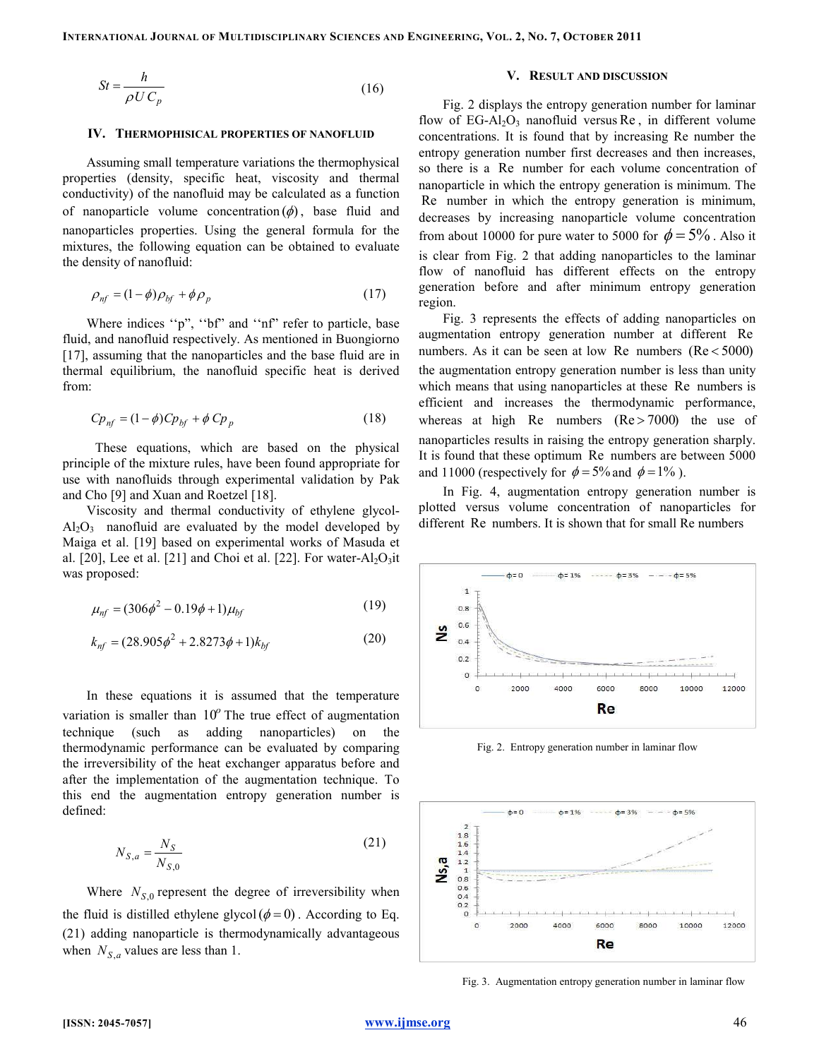$$
St = \frac{h}{\rho U C_p} \tag{16}
$$

#### IV. THERMOPHISICAL PROPERTIES OF NANOFLUID

Assuming small temperature variations the thermophysical properties (density, specific heat, viscosity and thermal conductivity) of the nanofluid may be calculated as a function of nanoparticle volume concentration  $(\phi)$ , base fluid and nanoparticles properties. Using the general formula for the mixtures, the following equation can be obtained to evaluate the density of nanofluid:

$$
\rho_{nf} = (1 - \phi)\rho_{bf} + \phi\rho_p \tag{17}
$$

Where indices ''p", ''bf" and ''nf" refer to particle, base fluid, and nanofluid respectively. As mentioned in Buongiorno [17], assuming that the nanoparticles and the base fluid are in thermal equilibrium, the nanofluid specific heat is derived from:

$$
Cp_{nf} = (1 - \phi)Cp_{bf} + \phi Cp_p \tag{18}
$$

These equations, which are based on the physical principle of the mixture rules, have been found appropriate for use with nanofluids through experimental validation by Pak and Cho [9] and Xuan and Roetzel [18].

Viscosity and thermal conductivity of ethylene glycol- $Al_2O_3$  nanofluid are evaluated by the model developed by Maiga et al. [19] based on experimental works of Masuda et al. [20], Lee et al. [21] and Choi et al. [22]. For water- $Al_2O_3$ it was proposed:

$$
\mu_{nf} = (306\phi^2 - 0.19\phi + 1)\mu_{bf} \tag{19}
$$

$$
k_{nf} = (28.905\phi^2 + 2.8273\phi + 1)k_{bf}
$$
 (20)

In these equations it is assumed that the temperature variation is smaller than  $10^{\circ}$  The true effect of augmentation technique (such as adding nanoparticles) on the thermodynamic performance can be evaluated by comparing the irreversibility of the heat exchanger apparatus before and after the implementation of the augmentation technique. To this end the augmentation entropy generation number is defined:

$$
N_{S,a} = \frac{N_S}{N_{S,0}}\tag{21}
$$

Where  $N_{S,0}$  represent the degree of irreversibility when the fluid is distilled ethylene glycol( $\phi = 0$ ). According to Eq. (21) adding nanoparticle is thermodynamically advantageous when  $N_{S,a}$  values are less than 1.

#### V. RESULT AND DISCUSSION

Fig. 2 displays the entropy generation number for laminar flow of  $EG-Al<sub>2</sub>O<sub>3</sub>$  nanofluid versus Re, in different volume concentrations. It is found that by increasing Re number the entropy generation number first decreases and then increases, so there is a Re number for each volume concentration of nanoparticle in which the entropy generation is minimum. The Re number in which the entropy generation is minimum, decreases by increasing nanoparticle volume concentration from about 10000 for pure water to 5000 for  $\phi = 5\%$ . Also it is clear from Fig. 2 that adding nanoparticles to the laminar flow of nanofluid has different effects on the entropy generation before and after minimum entropy generation region.

Fig. 3 represents the effects of adding nanoparticles on augmentation entropy generation number at different Re numbers. As it can be seen at low Re numbers  $(Re < 5000)$ the augmentation entropy generation number is less than unity which means that using nanoparticles at these Re numbers is efficient and increases the thermodynamic performance, whereas at high Re numbers  $(Re > 7000)$  the use of nanoparticles results in raising the entropy generation sharply. It is found that these optimum Re numbers are between 5000 and 11000 (respectively for  $\phi = 5\%$  and  $\phi = 1\%$ ).

In Fig. 4, augmentation entropy generation number is plotted versus volume concentration of nanoparticles for different Re numbers. It is shown that for small Re numbers



Fig. 2. Entropy generation number in laminar flow



Fig. 3. Augmentation entropy generation number in laminar flow